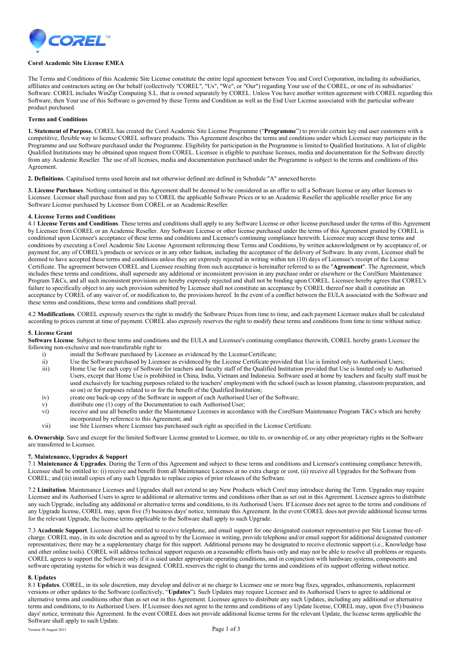

## **Corel Academic Site License EMEA**

The Terms and Conditions of this Academic Site License constitute the entire legal agreement between You and Corel Corporation, including its subsidiaries, affiliates and contractors acting on Our behalf (collectively "COREL", "Us", "We", or "Our") regarding Your use of the COREL, or one of its subsidiaries' Software. COREL includes WinZip Computing S.L. that is owned separately by COREL. Unless You have another written agreement with COREL regarding this Software, then Your use of this Software is governed by these Terms and Condition as well as the End User License associated with the particular software product purchased.

### **Terms and Conditions**

**1. Statement of Purpose.** COREL has created the Corel Academic Site License Programme ("**Programme**") to provide certain key end user customers with a competitive, flexible way to license COREL software products. This Agreement describes the terms and conditions under which Licensee may participate in the Programme and use Software purchased under the Programme. Eligibility for participation in the Programme is limited to Qualified Institutions. A list of eligible Qualified Institutions may be obtained upon request from COREL. Licensee is eligible to purchase licenses, media and documentation for the Software directly from any Academic Reseller. The use of all licenses, media and documentation purchased under the Programme is subject to the terms and conditions of this Agreement.

**2. Definitions**. Capitalised terms used herein and not otherwise defined are defined in Schedule "A" annexed hereto.

**3. License Purchases**. Nothing contained in this Agreement shall be deemed to be considered as an offer to sell a Software license or any other licenses to Licensee. Licensee shall purchase from and pay to COREL the applicable Software Prices or to an Academic Reseller the applicable reseller price for any Software License purchased by Licensee from COREL or an Academic Reseller.

# **4. License Terms and Conditions**

4.1 **License Terms and Conditions**. These terms and conditions shall apply to any Software License or other license purchased under the terms of this Agreement by Licensee from COREL or an Academic Reseller. Any Software License or other license purchased under the terms of this Agreement granted by COREL is conditional upon Licensee's acceptance of these terms and conditions and Licensee's continuing compliance herewith. Licensee may accept these terms and conditions by executing a Corel Academic Site License Agreement referencing these Terms and Conditions, by written acknowledgment or by acceptance of, or payment for, any of COREL's products or services or in any other fashion, including the acceptance of the delivery of Software. In any event, Licensee shall be deemed to have accepted these terms and conditions unless they are expressly rejected in writing within ten (10) days of Licensee's receipt of the License Certificate. The agreement between COREL and Licensee resulting from such acceptance is hereinafter referred to as the "**Agreement**". The Agreement, which includes these terms and conditions, shall supersede any additional or inconsistent provision in any purchase order or elsewhere or the CorelSure Maintenance Program T&Cs, and all such inconsistent provisions are hereby expressly rejected and shall not be binding upon COREL. Licensee hereby agrees that COREL's failure to specifically object to any such provision submitted by Licensee shall not constitute an acceptance by COREL thereof nor shall it constitute an acceptance by COREL of any waiver of, or modification to, the provisions hereof. In the event of a conflict between the EULA associated with the Software and these terms and conditions, these terms and conditions shall prevail.

4.2 **Modifications**. COREL expressly reserves the right to modify the Software Prices from time to time, and each payment Licensee makes shall be calculated according to prices current at time of payment. COREL also expressly reserves the right to modify these terms and conditions from time to time without notice.

### **5. License Grant**

Software License. Subject to these terms and conditions and the EULA and Licensee's continuing compliance therewith, COREL hereby grants Licensee the following non-exclusive and non-transferable right to:

- i) install the Software purchased by Licensee as evidenced by the License Certificate;<br>ii) Use the Software purchased by Licensee as evidenced by the License Certificate pro
- ii) Use the Software purchased by Licensee as evidenced by the License Certificate provided that Use is limited only to Authorised Users;<br>iii) Home Use for each copy of Software for teachers and faculty staff of the Qualif
- Home Use for each copy of Software for teachers and faculty staff of the Qualified Institution provided that Use is limited only to Authorised Users, except that Home Use is prohibited in China, India, Vietnam and Indonesia. Software used at home by teachers and faculty staff must be used exclusively for teaching purposes related to the teachers' employment with the school (such as lesson planning, classroom preparation, and so on) or for purposes related to or for the benefit of the Qualified Institution;
- iv) create one back-up copy of the Software in support of each Authorised User of the Software;
- v) distribute one (1) copy of the Documentation to each Authorised User;<br>vi) receive and use all benefits under the Maintenance Licenses in accorda
- receive and use all benefits under the Maintenance Licenses in accordance with the CorelSure Maintenance Program T&Cs which are hereby incorporated by reference to this Agreement; and
- vii) use Site Licenses where Licensee has purchased such right as specified in the License Certificate.

**6. Ownership**. Save and except for the limited Software License granted to Licensee, no title to, or ownership of, or any other proprietary rights in the Software are transferred to Licensee.

### **7. Maintenance, Upgrades & Support**

7.1 **Maintenance & Upgrades**. During the Term of this Agreement and subject to these terms and conditions and Licensee's continuing compliance herewith, Licensee shall be entitled to: (i) receive and benefit from all Maintenance Licenses at no extra charge or cost, (ii) receive all Upgrades for the Software from COREL; and (iii) install copies of any such Upgrades to replace copies of prior releases of the Software.

7.2 **Limitation**. Maintenance Licenses and Upgrades shall not extend to any New Products which Corel may introduce during the Term. Upgrades may require Licensee and its Authorised Users to agree to additional or alternative terms and conditions other than as set out in this Agreement. Licensee agrees to distribute any such Upgrade, including any additional or alternative terms and conditions, to its Authorised Users. If Licensee does not agree to the terms and conditions of any Upgrade license, COREL may, upon five (5) business days' notice, terminate this Agreement. In the event COREL does not provide additional license terms for the relevant Upgrade, the license terms applicable to the Software shall apply to such Upgrade.

7.3 **Academic Support**. Licensee shall be entitled to receive telephone, and email support for one designated customer representative per Site License free-ofcharge. COREL may, in its sole discretion and as agreed to by the Licensee in writing, provide telephone and/or email support for additional designated customer representatives; there may be a supplementary charge for this support. Additional persons may be designated to receive electronic support (i.e., Knowledge base and other online tools). COREL will address technical support requests on a reasonable efforts basis only and may not be able to resolve all problems or requests. COREL agrees to support the Software only if it is used under appropriate operating conditions, and in conjunction with hardware systems, components and software operating systems for which it was designed. COREL reserves the right to change the terms and conditions of its support offering without notice.

### **8. Updates**

8.1 **Updates**. COREL, in its sole discretion, may develop and deliver at no charge to Licensee one or more bug fixes, upgrades, enhancements, replacement versions or other updates to the Software (collectively, "**Updates**"). Such Updates may require Licensee and its Authorised Users to agree to additional or alternative terms and conditions other than as set out in this Agreement. Licensee agrees to distribute any such Updates, including any additional or alternative terms and conditions, to its Authorised Users. If Licensee does not agree to the terms and conditions of any Update license, COREL may, upon five (5) business days' notice, terminate this Agreement. In the event COREL does not provide additional license terms for the relevant Update, the license terms applicable the Software shall apply to such Update.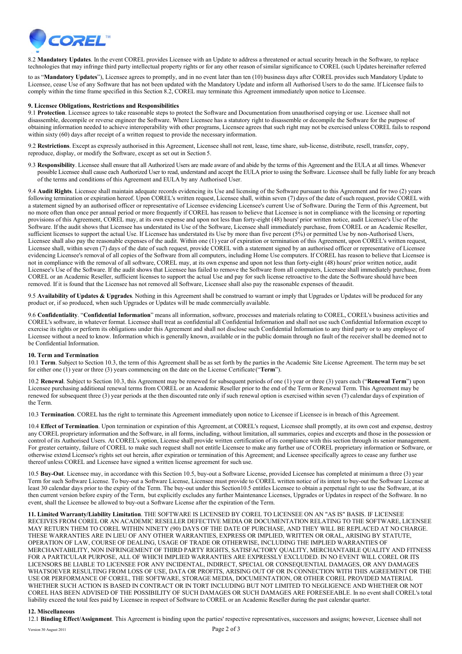

8.2 **Mandatory Updates**. In the event COREL provides Licensee with an Update to address a threatened or actual security breach in the Software, to replace technologies that may infringe third party intellectual property rights or for any other reason of similar significance to COREL (such Updates hereinafter referred

to as "**Mandatory Updates**"), Licensee agrees to promptly, and in no event later than ten (10) business days after COREL provides such Mandatory Update to Licensee, cease Use of any Software that has not been updated with the Mandatory Update and inform all Authorised Users to do the same. If Licensee fails to comply within the time frame specified in this Section 8.2, COREL may terminate this Agreement immediately upon notice to Licensee.

## **9. Licensee Obligations, Restrictions and Responsibilities**

9.1 **Protection**. Licensee agrees to take reasonable steps to protect the Software and Documentation from unauthorised copying or use. Licensee shall not disassemble, decompile or reverse engineer the Software. Where Licensee has a statutory right to disassemble or decompile the Software for the purpose of obtaining information needed to achieve interoperability with other programs, Licensee agrees that such right may not be exercised unless COREL fails to respond within sixty (60) days after receipt of a written request to provide the necessary information.

9.2 **Restrictions**. Except as expressly authorised in this Agreement, Licensee shall not rent, lease, time share, sub-license, distribute, resell, transfer, copy, reproduce, display, or modify the Software, except as set out in Section 5.

9.3 **Responsibility**. Licensee shall ensure that all Authorized Users are made aware of and abide by the terms of this Agreement and the EULA at all times. Whenever possible Licensee shall cause each Authorized User to read, understand and accept the EULA prior to using the Software. Licensee shall be fully liable for any breach of the terms and conditions of this Agreement and EULA by any Authorised User.

9.4 **Audit Rights**. Licensee shall maintain adequate records evidencing its Use and licensing of the Software pursuant to this Agreement and for two (2) years following termination or expiration hereof. Upon COREL's written request, Licensee shall, within seven (7) days of the date of such request, provide COREL with a statement signed by an authorised officer or representative of Licensee evidencing Licensee's current Use of Software. During the Term of this Agreement, but no more often than once per annual period or more frequently if COREL has reason to believe that Licensee is not in compliance with the licensing or reporting provisions of this Agreement, COREL may, at its own expense and upon not less than forty-eight (48) hours' prior written notice, audit Licensee's Use of the Software. If the audit shows that Licensee has understated its Use of the Software, Licensee shall immediately purchase, from COREL or an Academic Reseller, sufficient licenses to support the actual Use. If Licensee has understated its Use by more than five percent (5%) or permitted Use by non-Authorised Users, Licensee shall also pay the reasonable expenses of the audit. Within one (1) year of expiration or termination of this Agreement, upon COREL's written request, Licensee shall, within seven (7) days of the date of such request, provide COREL with a statement signed by an authorised officer or representative of Licensee evidencing Licensee's removal of all copies of the Software from all computers, including Home Use computers. If COREL has reason to believe that Licensee is not in compliance with the removal of all software, COREL may, at its own expense and upon not less than forty-eight (48) hours' prior written notice, audit Licensee's Use of the Software. If the audit shows that Licensee has failed to remove the Software from all computers, Licensee shall immediately purchase, from COREL or an Academic Reseller, sufficient licenses to support the actual Use and pay for such license retroactive to the date the Software should have been removed. If it is found that the Licensee has not removed all Software, Licensee shall also pay the reasonable expenses of theaudit.

9.5 **Availability of Updates & Upgrades**. Nothing in this Agreement shall be construed to warrant or imply that Upgrades or Updates will be produced for any product or, if so produced, when such Upgrades or Updates will be made commercially available.

9.6 **Confidentiality**. "**Confidential Information**" means all information, software, processes and materials relating to COREL, COREL's business activities and COREL's software, in whatever format. Licensee shall treat as confidential all Confidential Information and shall not use such Confidential Information except to exercise its rights or perform its obligations under this Agreement and shall not disclose such Confidential Information to any third party or to any employee of Licensee without a need to know. Information which is generally known, available or in the public domain through no fault of the receiver shall be deemed not to be Confidential Information.

# **10. Term and Termination**

10.1 **Term**. Subject to Section 10.3, the term of this Agreement shall be as set forth by the parties in the Academic Site License Agreement. The term may be set for either one (1) year or three (3) years commencing on the date on the License Certificate ("**Term**").

10.2 **Renewal**. Subject to Section 10.3, this Agreement may be renewed for subsequent periods of one (1) year or three (3) years each ("**Renewal Term**") upon Licensee purchasing additional renewal terms from COREL or an Academic Reseller prior to the end of the Term or Renewal Term. This Agreement may be renewed for subsequent three (3) year periods at the then discounted rate only if such renewal option is exercised within seven (7) calendar days of expiration of the Term.

10.3 **Termination**. COREL has the right to terminate this Agreement immediately upon notice to Licensee if Licensee is in breach of this Agreement.

10.4 **Effect of Termination**. Upon termination or expiration of this Agreement, at COREL's request, Licensee shall promptly, at its own cost and expense, destroy any COREL proprietary information and the Software, in all forms, including, without limitation, all summaries, copies and excerpts and those in the possession or control of its Authorised Users. At COREL's option, License shall provide written certification of its compliance with this section through its senior management. For greater certainty, failure of COREL to make such request shall not entitle Licensee to make any further use of COREL proprietary information or Software, or otherwise extend Licensee's rights set out herein, after expiration or termination of this Agreement; and Licensee specifically agrees to cease any further use thereof unless COREL and Licensee have signed a written license agreement for such use.

10.5 **Buy-Out**. Licensee may, in accordance with this Section 10.5, buy-out a Software License, provided Licensee has completed at minimum a three (3) year Term for such Software License. To buy-out a Software License, Licensee must provide to COREL written notice of its intent to buy-out the Software License at least 30 calendar days prior to the expiry of the Term. The buy-out under this Section10.5 entitles Licensee to obtain a perpetual right to use the Software, at its then current version before expiry of the Term, but explicitly excludes any further Maintenance Licenses, Upgrades or Updates in respect of the Software. In no event, shall the Licensee be allowed to buy-out a Software License after the expiration of the Term.

**11. Limited Warranty/Liability Limitation**. THE SOFTWARE IS LICENSED BY COREL TO LICENSEE ON AN "AS IS" BASIS. IF LICENSEE RECEIVES FROM COREL OR AN ACADEMIC RESELLER DEFECTIVE MEDIA OR DOCUMENTATION RELATING TO THE SOFTWARE, LICENSEE MAY RETURN THEM TO COREL WITHIN NINETY (90) DAYS OF THE DATE OF PURCHASE, AND THEY WILL BE REPLACED AT NO CHARGE. THESE WARRANTIES ARE IN LIEU OF ANY OTHER WARRANTIES, EXPRESS OR IMPLIED, WRITTEN OR ORAL, ARISING BY STATUTE, OPERATION OF LAW, COURSE OF DEALING, USAGE OF TRADE OR OTHERWISE, INCLUDING THE IMPLIED WARRANTIES OF MERCHANTABILITY, NON INFRINGEMENT OF THIRD PARTY RIGHTS, SATISFACTORY QUALITY, MERCHANTABLE QUALITY AND FITNESS FOR A PARTICULAR PURPOSE, ALL OF WHICH IMPLIED WARRANTIES ARE EXPRESSLY EXCLUDED. IN NO EVENT WILL COREL OR ITS LICENSORS BE LIABLE TO LICENSEE FOR ANY INCIDENTAL, INDIRECT, SPECIAL OR CONSEQUENTIAL DAMAGES, OR ANY DAMAGES WHATSOEVER RESULTING FROM LOSS OF USE, DATA OR PROFITS, ARISING OUT OF OR IN CONNECTION WITH THIS AGREEMENT OR THE USE OR PERFORMANCE OF COREL, THE SOFTWARE, STORAGE MEDIA, DOCUMENTATION, OR OTHER COREL PROVIDED MATERIAL WHETHER SUCH ACTION IS BASED IN CONTRACT OR IN TORT INCLUDING BUT NOT LIMITED TO NEGLIGENCE AND WHETHER OR NOT COREL HAS BEEN ADVISED OF THE POSSIBILITY OF SUCH DAMAGES OR SUCH DAMAGES ARE FORESEEABLE. In no event shall COREL's total liability exceed the total fees paid by Licensee in respect of Software to COREL or an Academic Reseller during the past calendar quarter.

### **12. Miscellaneous**

12.1 **Binding Effect/Assignment**. This Agreement is binding upon the parties' respective representatives, successors and assigns; however, Licensee shall not